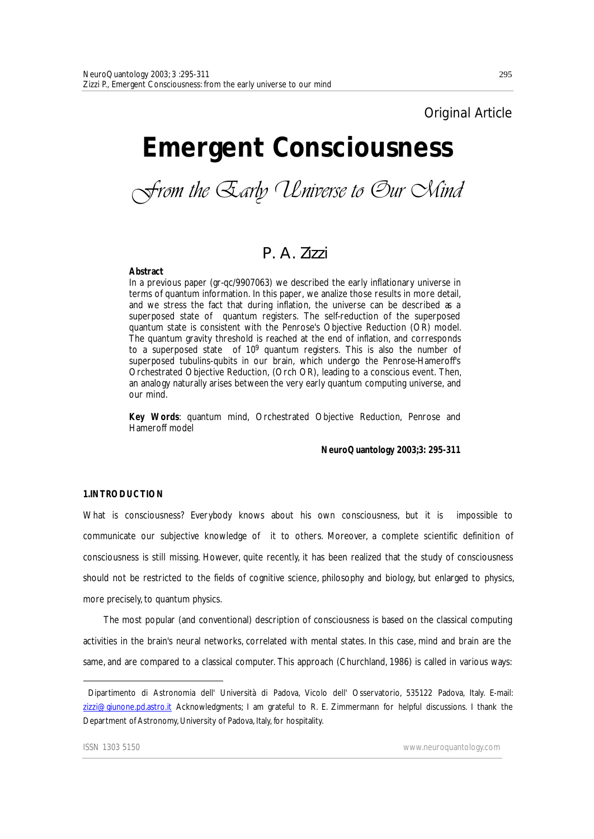### Original Article

# **Emergent Consciousness**

## *From the Early Universe to Our Mind*

## P. A. Zizzi

#### **Abstract**

In a previous paper (gr-qc/9907063) we described the early inflationary universe in terms of quantum information. In this paper, we analize those results in more detail, and we stress the fact that during inflation, the universe can be described as a superposed state of quantum registers. The self-reduction of the superposed quantum state is consistent with the Penrose's Objective Reduction (OR) model. The quantum gravity threshold is reached at the end of inflation, and corresponds to a superposed state of 10<sup>9</sup> quantum registers. This is also the number of superposed tubulins-qubits in our brain, which undergo the Penrose-Hameroff's Orchestrated Objective Reduction, (Orch OR), leading to a conscious event. Then, an analogy naturally arises between the very early quantum computing universe, and our mind.

**Key Words**: quantum mind, Orchestrated Objective Reduction, Penrose and Hameroff model

**NeuroQuantology 2003;3: 295-311**

#### **1.INTRODUCTION**

What is consciousness? Everybody knows about his own consciousness, but it is impossible to communicate our subjective knowledge of it to others. Moreover, a complete scientific definition of consciousness is still missing. However, quite recently, it has been realized that the study of consciousness should not be restricted to the fields of cognitive science, philosophy and biology, but enlarged to physics, more precisely, to quantum physics.

The most popular (and conventional) description of consciousness is based on the classical computing activities in the brain's neural networks, correlated with mental states. In this case, mind and brain are the same, and are compared to a classical computer. This approach (Churchland, 1986) is called in various ways:

l

**<sup>1</sup>** Dipartimento di Astronomia dell' Università di Padova, Vicolo dell' Osservatorio, 535122 Padova, Italy. E-mail: [zizzi@giunone.pd.astro.it](mailto:zizzi@giunone.pd.astro.it) Acknowledgments; I am grateful to R. E. Zimmermann for helpful discussions. I thank the Department of Astronomy, University of Padova, Italy, for hospitality.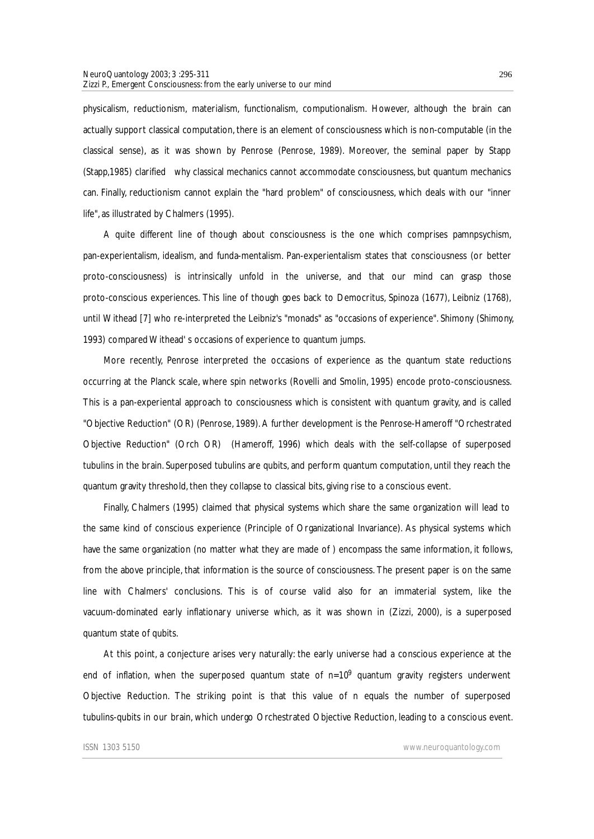physicalism, reductionism, materialism, functionalism, computionalism. However, although the brain can actually support classical computation, there is an element of consciousness which is non-computable (in the classical sense), as it was shown by Penrose (Penrose, 1989). Moreover, the seminal paper by Stapp (Stapp,1985) clarified why classical mechanics cannot accommodate consciousness, but quantum mechanics can. Finally, reductionism cannot explain the "hard problem" of consciousness, which deals with our "inner life", as illustrated by Chalmers (1995).

A quite different line of though about consciousness is the one which comprises pamnpsychism, pan-experientalism, idealism, and funda-mentalism. Pan-experientalism states that consciousness (or better proto-consciousness) is intrinsically unfold in the universe, and that our mind can grasp those proto-conscious experiences. This line of though goes back to Democritus, Spinoza (1677), Leibniz (1768), until Withead [7] who re-interpreted the Leibniz's "monads" as "occasions of experience". Shimony (Shimony, 1993) comparedWithead' s occasions of experience to quantum jumps.

More recently, Penrose interpreted the occasions of experience as the quantum state reductions occurring at the Planck scale, where spin networks (Rovelli and Smolin, 1995) encode proto-consciousness. This is a pan-experiental approach to consciousness which is consistent with quantum gravity, and is called "Objective Reduction" (OR) (Penrose, 1989). A further development is the Penrose-Hameroff "Orchestrated Objective Reduction" (Orch OR) (Hameroff, 1996) which deals with the self-collapse of superposed tubulins in the brain. Superposed tubulins are qubits, and perform quantum computation, until they reach the quantum gravity threshold, then they collapse to classical bits, giving rise to a conscious event.

Finally, Chalmers (1995) claimed that physical systems which share the same organization will lead to the same kind of conscious experience (Principle of Organizational Invariance). As physical systems which have the same organization (no matter what they are made of) encompass the same information, it follows, from the above principle, that information is the source of consciousness. The present paper is on the same line with Chalmers' conclusions. This is of course valid also for an immaterial system, like the vacuum-dominated early inflationary universe which, as it was shown in (Zizzi, 2000), is a superposed quantum state of qubits.

At this point, a conjecture arises very naturally: the early universe had a conscious experience at the end of inflation, when the superposed quantum state of  $n=10<sup>9</sup>$  quantum gravity registers underwent Objective Reduction. The striking point is that this value of n equals the number of superposed tubulins-qubits in our brain, which undergo Orchestrated Objective Reduction, leading to a conscious event.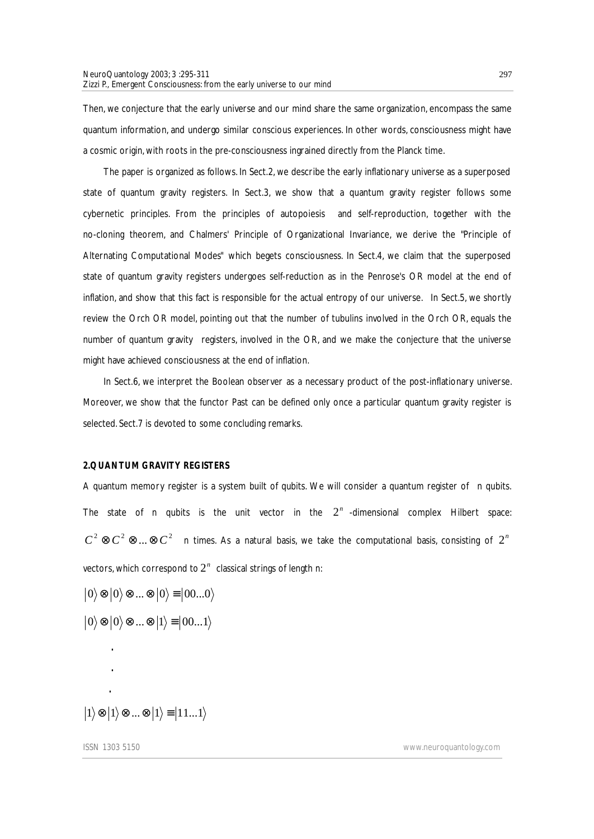Then, we conjecture that the early universe and our mind share the same organization, encompass the same quantum information, and undergo similar conscious experiences. In other words, consciousness might have a cosmic origin, with roots in the pre-consciousness ingrained directly from the Planck time.

The paper is organized as follows. In Sect.2, we describe the early inflationary universe as a superposed state of quantum gravity registers. In Sect.3, we show that a quantum gravity register follows some cybernetic principles. From the principles of autopoiesis and self-reproduction, together with the no-cloning theorem, and Chalmers' Principle of Organizational Invariance, we derive the "*Principle of Alternating Computational Modes*" which begets consciousness. In Sect.4, we claim that the superposed state of quantum gravity registers undergoes self-reduction as in the Penrose's OR model at the end of inflation, and show that this fact is responsible for the actual entropy of our universe. In Sect.5, we shortly review the Orch OR model, pointing out that the number of tubulins involved in the Orch OR, equals the number of quantum gravity registers, involved in the OR, and we make the conjecture that the universe might have achieved consciousness at the end of inflation.

In Sect.6, we interpret the Boolean observer as a necessary product of the post-inflationary universe. Moreover, we show that the functor Past can be defined only once a particular quantum gravity register is selected. Sect.7 is devoted to some concluding remarks.

#### **2.QUANTUM GRAVITY REGISTERS**

A quantum memory register is a system built of qubits. We will consider a quantum register of n qubits. The state of n qubits is the unit vector in the  $2<sup>n</sup>$  -dimensional complex Hilbert space:  $C^2\otimes C^2\otimes...\otimes C^2$  n times. As a natural basis, we take the computational basis, consisting of  $2^n$ vectors, which correspond to  $2<sup>n</sup>$  classical strings of length n:

- $|0\rangle \otimes |0\rangle \otimes ... \otimes |0\rangle \equiv |00...0\rangle$
- $|0\rangle \otimes |0\rangle \otimes ... \otimes |1\rangle = |00...1\rangle$

$$
\left| 1 \right\rangle \otimes \left| 1 \right\rangle \otimes \ldots \otimes \left| 1 \right\rangle \equiv \left| 1\,1\ldots 1 \right\rangle
$$

 **.** 

 **.** 

**.**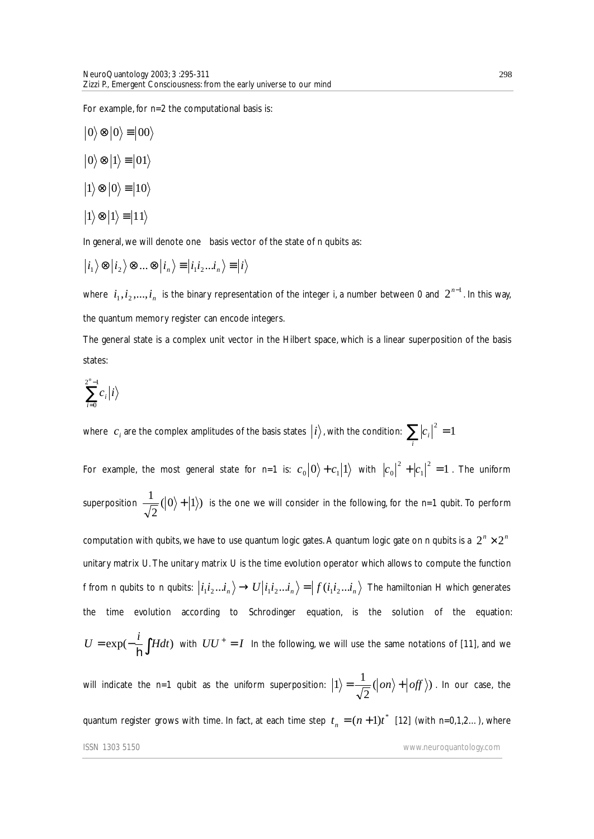For example, for n=2 the computational basis is:

$$
|0\rangle \otimes |0\rangle \equiv |00\rangle
$$
  

$$
|0\rangle \otimes |1\rangle \equiv |01\rangle
$$
  

$$
|1\rangle \otimes |0\rangle \equiv |10\rangle
$$
  

$$
|1\rangle \otimes |1\rangle \equiv |11\rangle
$$

In general, we will denote one basis vector of the state of n qubits as:

$$
|i_1\rangle \otimes |i_2\rangle \otimes ... \otimes |i_n\rangle \equiv |i_1i_2...i_n\rangle \equiv |i\rangle
$$

where  $i_1, i_2, ..., i_n$  is the binary representation of the integer i, a number between 0 and  $2^{n-1}$ . In this way, the quantum memory register can encode integers.

The general state is a complex unit vector in the Hilbert space, which is a linear superposition of the basis states:

$$
\sum_{i=0}^{2^n-1}c_i\bigl|i\bigr\rangle
$$

where  $|c_i|$  are the complex amplitudes of the basis states  $|i\rangle$  , with the condition:  $\sum_i |c_i|^2 = 1$  $c_i^2 = 1$ 

For example, the most general state for n=1 is:  $c_0\big|0\big\rangle+c_1\big|1\big\rangle$  with  $\big|c_0\big|^2+\big|c_1\big|^2=1$ 1  $c_0\vert^2 + |c_1|^2 = 1$ . The uniform superposition  $\frac{1}{\sqrt{2}}(|0\rangle + |1\rangle)$ 2  $\frac{1}{\sqrt{2}}(|0\rangle+|1\rangle)$  is the one we will consider in the following, for the n=1 qubit. To perform

computation with qubits, we have to use quantum logic gates. A quantum logic gate on n qubits is a  $2^n \times 2^n$ unitary matrix U. The unitary matrix U is the time evolution operator which allows to compute the function f from n qubits to n qubits:  $\left|i_1 i_2 ... i_n\right\rangle\to U\big|i_1 i_2 ... i_n\big\rangle=\big|f(i_1 i_2 ... i_n\big\rangle$  The hamiltonian H which generates the time evolution according to Schrodinger equation, is the solution of the equation:  $U = \exp(-\frac{i}{\mathbf{h}}\int Hdt)$ h with  $UU^+ = I$  In the following, we will use the same notations of [11], and we

will indicate the n=1 qubit as the uniform superposition:  $|1\rangle = \frac{1}{\sqrt{2}}(|on\rangle + |off\rangle)$ 2  $1\rangle = \frac{1}{\sqrt{2}}(|on\rangle + |off\rangle)$ . In our case, the quantum register grows with time. In fact, at each time step  $t_n = (n+1)t^*$  [12] (with n=0,1,2…), where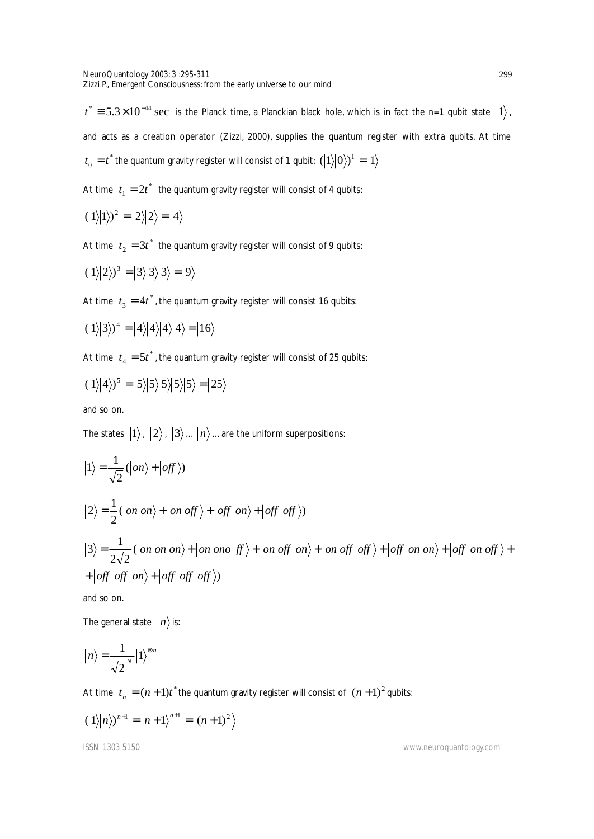299

 $t^* \approx 5.3 \times 10^{-44}$  sec is the Planck time, a Planckian black hole, which is in fact the n=1 qubit state  $|1\rangle$ , and acts as a creation operator (Zizzi, 2000), supplies the quantum register with extra qubits. At time \*  $t_0 = t^*$  the quantum gravity register will consist of 1 qubit:  $(|1\rangle|0\rangle)^1 = |1\rangle$ 

At time  $t_1 = 2t^*$  the quantum gravity register will consist of 4 qubits:

$$
(|1\rangle|1\rangle)^2=|2\rangle|2\rangle=|4\rangle
$$

At time  $t_2 = 3t^*$  the quantum gravity register will consist of 9 qubits:

$$
(|1\rangle|2\rangle)^3=|3\rangle|3\rangle|3\rangle=|9\rangle
$$

At time  $t_3 = 4t^*$ , the quantum gravity register will consist 16 qubits:

$$
(|1\rangle|3\rangle)^4=|4\rangle|4\rangle|4\rangle|4\rangle=|16\rangle
$$

At time  $t_4 = 5t^*$ , the quantum gravity register will consist of 25 qubits:

$$
(|1\rangle|4\rangle)^5=|5\rangle|5\rangle|5\rangle|5\rangle=|25\rangle
$$

and so on.

The states  $|1\rangle$ ,  $|2\rangle$ ,  $|3\rangle$ ...  $|n\rangle$ ... are the uniform superpositions:

$$
|1\rangle = \frac{1}{\sqrt{2}}(|on\rangle + |off\rangle)
$$
  
\n
$$
|2\rangle = \frac{1}{2}(|on|on\rangle + |on|off\rangle + |off|on\rangle + |off|off\rangle)
$$
  
\n
$$
|3\rangle = \frac{1}{2\sqrt{2}}(|on|on|on\rangle + |on|on|off\rangle + |on|off|on\rangle + |on|off|off\rangle + |off|on|off\rangle + |off|off|on|off\rangle + |off|off|on\rangle + |off|off|off\rangle)
$$
  
\n
$$
+ |off|off|on\rangle + |off|off|off|off\rangle)
$$
  
\nand so on.

The general state  $|n\rangle$  is:

$$
|n\rangle = \frac{1}{\sqrt{2}^N} |1\rangle^{\otimes n}
$$

At time  $t_n = (n+1)t^*$  the quantum gravity register will consist of  $(n+1)^2$  qubits:

$$
(|1\rangle|n\rangle)^{n+1} = |n+1\rangle^{n+1} = |(n+1)^2\rangle
$$
  
ISSN 1303 5150

[www.neuroquantology.com](http://www.neuroquantology.com)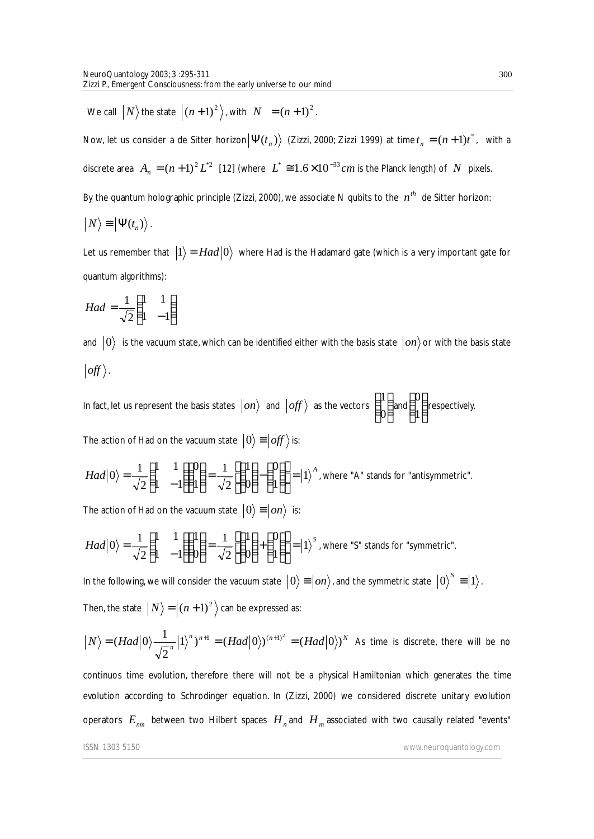We call  $|N\rangle$  the state  $|(n+1)^2\rangle$ , with  $N = (n+1)^2$ .

Now, let us consider a de Sitter horizon $\Ket{\Psi(t_n)}$  (Zizzi, 2000; Zizzi 1999) at time  $t_n = (n+1)t^*$ , with a discrete area  $A_n = (n+1)^2 L^{*2}$  [12] (where  $L^* \cong 1.6 \times 10^{-33}$  *cm* is the Planck length) of  $N$  pixels. By the quantum holographic principle (Zizzi, 2000), we associate N qubits to the  $n^{th}$  de Sitter horizon:

$$
|N\rangle \equiv |\Psi(t_n)\rangle.
$$

Let us remember that  $|1\rangle = Had|0\rangle$  where *Had* is the Hadamard gate (which is a very important gate for quantum algorithms):

$$
Had = \frac{1}{\sqrt{2}} \begin{pmatrix} 1 & 1 \\ 1 & -1 \end{pmatrix}
$$

and  $|0\rangle$  is the vacuum state, which can be identified either with the basis state  $|on\rangle$  or with the basis state  $|$ *off* $\rangle$ .

In fact, let us represent the basis states  $|on\rangle$  and  $|off\rangle$  as the vectors  $\begin{bmatrix} 1 & 0 \\ 0 & 1 \end{bmatrix}$  $\big)$  $\left( \right)$  $\overline{\phantom{a}}$ l ſ 0 1 and  $\begin{bmatrix} 0 \\ 1 \end{bmatrix}$  $\bigg)$  $\left( \right)$  $\mathsf{I}$ l ſ 1 0 respectively.

The action of *Had* on the vacuum state  $|0\rangle = |off\rangle$  is:

$$
Had|0\rangle = \frac{1}{\sqrt{2}}\begin{pmatrix} 1 & 1\\ 1 & -1 \end{pmatrix} \begin{pmatrix} 0\\ 1 \end{pmatrix} = \frac{1}{\sqrt{2}}\begin{bmatrix} 1\\ 0 \end{bmatrix} - \begin{pmatrix} 0\\ 1 \end{pmatrix} = |1\rangle^{A}
$$
, where "A" stands for "antisymmetric".

The action of *Had* on the vacuum state  $|0\rangle = |on\rangle$  is:

$$
Had|0\rangle = \frac{1}{\sqrt{2}}\begin{pmatrix} 1 & 1\\ 1 & -1 \end{pmatrix}\begin{pmatrix} 1\\ 0 \end{pmatrix} = \frac{1}{\sqrt{2}}\begin{bmatrix} 1\\ 0 \end{bmatrix} + \begin{pmatrix} 0\\ 1 \end{pmatrix} = |1\rangle^{s}
$$
, where "S" stands for "symmetric".

In the following, we will consider the vacuum state  $\ket{0}\equiv\ket{on}$ , and the symmetric state  $\ket{0}^S\equiv\ket{1}$ . Then, the state  $|N\rangle = |(n+1)^2\rangle$  can be expressed as:

$$
\left|N\right\rangle = (Had|0\rangle \frac{1}{\sqrt{2}^n}|1\rangle^n)^{n+1} = (Had|0\rangle)^{(n+1)^2} = (Had|0\rangle)^N
$$
 As time is discrete, there will be no

continuos time evolution, therefore there will not be a physical Hamiltonian which generates the time evolution according to Schrodinger equation. In (Zizzi, 2000) we considered discrete unitary evolution operators  $\,E_{_{nm}}\,$  between two Hilbert spaces  $\,H_{_{n}}$  and  $\,H_{_{m}}$  associated with two causally related "events"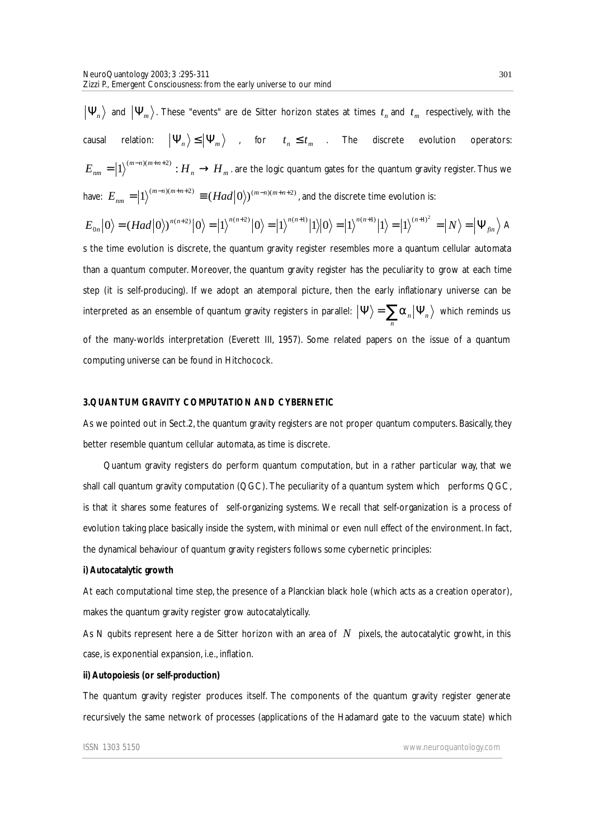$\Psi_n\big>$  and  $\big|\Psi_m\big>$ . These "events" are de Sitter horizon states at times  $t_n$  and  $t_m$  respectively, with the causal relation:  $|\Psi_n\rangle \le |\Psi_m\rangle$  , for  $t_n \le t_m$  . The discrete evolution operators:  $n \rightarrow H_m$  $E_{_{nm}}= \bigl|1\rangle^{(m-n)(m+n+2)}: {H}_{_n}\to{H}_{_m}.$  are the logic quantum gates for the quantum gravity register. Thus we have:  $E_{nm} = |1\rangle^{(m-n)(m+n+2)} \equiv (Had|0\rangle)^{(m-n)(m+n+2)}$ , and the discrete time evolution is:

$$
E_{0n}|0\rangle = (Had|0\rangle)^{n(n+2)}|0\rangle = |1\rangle^{n(n+2)}|0\rangle = |1\rangle^{n(n+1)}|1\rangle|0\rangle = |1\rangle^{n(n+1)}|1\rangle = |1\rangle^{(n+1)^2} = |N\rangle = |\Psi_{fin}\rangle \text{ A}
$$

s the time evolution is discrete, the quantum gravity register resembles more a quantum cellular automata than a quantum computer. Moreover, the quantum gravity register has the peculiarity to grow at each time step (it is self-producing). If we adopt an atemporal picture, then the early inflationary universe can be interpreted as an ensemble of quantum gravity registers in parallel:  $\big\vert\Psi\big\rangle\!=\!\sum\limits_n\!a_n\big\vert\Psi\!\!\big\}$  $a_n|\Psi_n\rangle$  which reminds us of the many-worlds interpretation (Everett III, 1957). Some related papers on the issue of a quantum computing universe can be found in Hitchocock.

#### **3.QUANTUM GRAVITY COMPUTATION AND CYBERNETIC**

As we pointed out in Sect.2, the quantum gravity registers are not proper quantum computers. Basically, they better resemble quantum cellular automata, as time is discrete.

Quantum gravity registers do perform quantum computation, but in a rather particular way, that we shall call *quantum gravity computation* (QGC). The peculiarity of a quantum system which performs QGC, is that it shares some features of self-organizing systems. We recall that self-organization is a process of evolution taking place basically inside the system, with minimal or even null effect of the environment. In fact, the dynamical behaviour of quantum gravity registers follows some cybernetic principles:

**i) Autocatalytic growth** 

At each computational time step, the presence of a Planckian black hole (which acts as a creation operator), makes the quantum gravity register grow autocatalytically.

As N qubits represent here a de Sitter horizon with an area of *N* pixels, the autocatalytic growht, in this case, is exponential expansion, i.e., inflation.

**ii) Autopoiesis (or self-production)** 

The quantum gravity register produces itself. The components of the quantum gravity register generate recursively the same network of processes (applications of the Hadamard gate to the vacuum state) which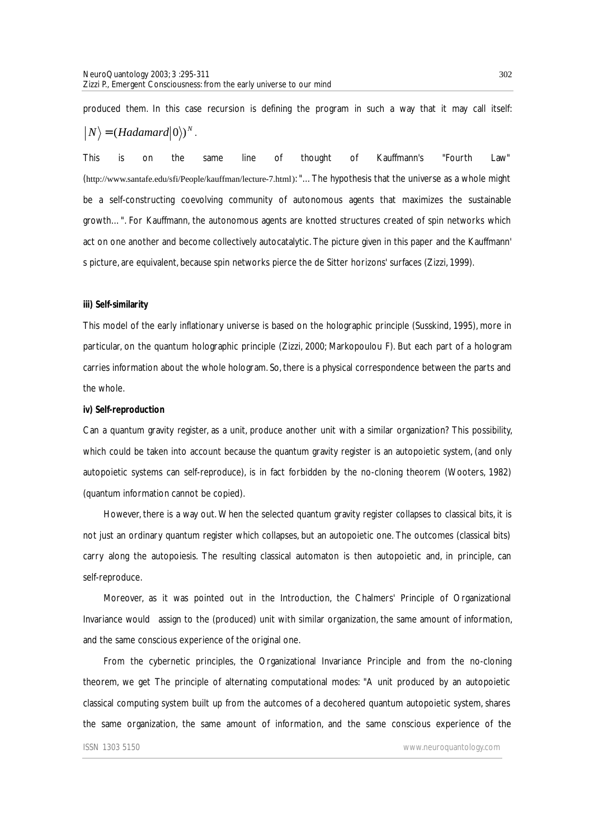produced them. In this case recursion is defining the program in such a way that it may call itself:  $|N\rangle = (Hadamard |0\rangle)^N$ .

This is on the same line of thought of Kauffmann's "Fourth Law" ([http://www.santafe.edu/sfi/People/kauffman/lecture-7.html\)](http://www.santafe.edu/sfi/People/kauffman/lecture-7.html): "…The hypothesis that the universe as a whole might be a self-constructing coevolving community of autonomous agents that maximizes the sustainable growth…". For Kauffmann, the autonomous agents are knotted structures created of spin networks which act on one another and become collectively autocatalytic. The picture given in this paper and the Kauffmann' s picture, are equivalent, because spin networks pierce the de Sitter horizons' surfaces (Zizzi, 1999).

#### **iii) Self-similarity**

This model of the early inflationary universe is based on the holographic principle (Susskind, 1995), more in particular, on the quantum holographic principle (Zizzi, 2000; Markopoulou F). But each part of a hologram carries information about the whole hologram. So, there is a physical correspondence between the parts and the whole.

#### **iv) Self-reproduction**

Can a quantum gravity register, as a unit, produce another unit with a similar organization? This possibility, which could be taken into account because the quantum gravity register is an autopoietic system, (and only autopoietic systems can self-reproduce), is in fact forbidden by the no-cloning theorem (Wooters, 1982) (quantum information cannot be copied).

However, there is a way out. When the selected quantum gravity register collapses to classical bits, it is not just an ordinary quantum register which collapses, but an autopoietic one. The outcomes (classical bits) carry along the autopoiesis. The resulting classical automaton is then autopoietic and, in principle, can self-reproduce.

Moreover, as it was pointed out in the Introduction, the Chalmers' Principle of Organizational Invariance would assign to the (produced) unit with similar organization, the same amount of information, and the same conscious experience of the original one.

From the cybernetic principles, the Organizational Invariance Principle and from the no-cloning theorem, we get *The principle of alternating computational modes*: "A unit produced by an autopoietic classical computing system built up from the autcomes of a decohered quantum autopoietic system, shares the same organization, the same amount of information, and the same conscious experience of the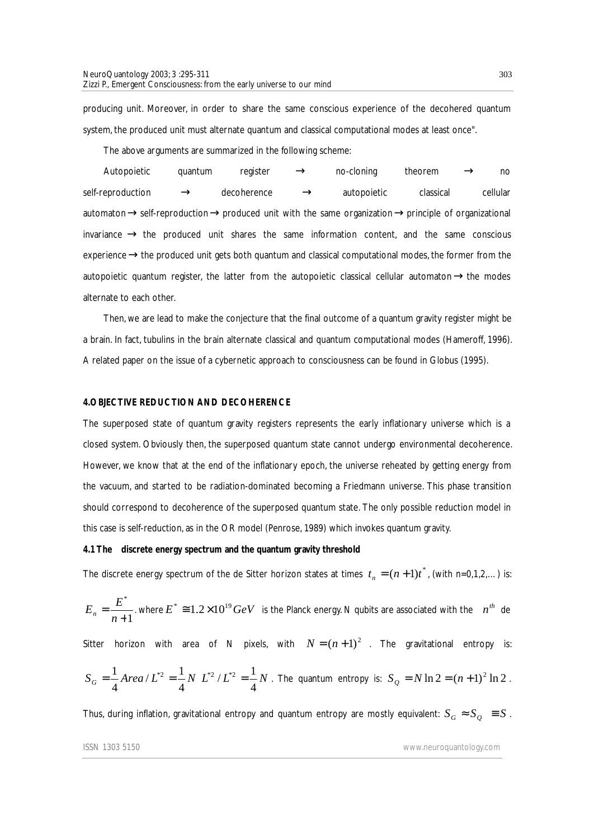producing unit. Moreover, in order to share the same conscious experience of the decohered quantum system, the produced unit must alternate quantum and classical computational modes at least once".

The above arguments are summarized in the following scheme:

*Autopoietic quantum register* → *no-cloning theorem* → *no self-reproduction* → *decoherence* → *autopoietic classical cellular automaton*→*self-reproduction*→*produced unit with the same organization*→*principle of organizational invariance* → *the produced unit shares the same information content, and the same conscious experience*→*the produced unit gets both quantum and classical computational modes, the former from the autopoietic quantum register, the latter from the autopoietic classical cellular automaton*→*the modes alternate to each other.* 

Then, we are lead to make the conjecture that the final outcome of a quantum gravity register might be a brain. In fact, tubulins in the brain alternate classical and quantum computational modes (Hameroff, 1996). A related paper on the issue of a cybernetic approach to consciousness can be found in Globus (1995).

#### **4.OBJECTIVE REDUCTION AND DECOHERENCE**

The superposed state of quantum gravity registers represents the early inflationary universe which is a closed system. Obviously then, the superposed quantum state cannot undergo environmental decoherence. However, we know that at the end of the inflationary epoch, the universe reheated by getting energy from the vacuum, and started to be radiation-dominated becoming a Friedmann universe. This phase transition should correspond to decoherence of the superposed quantum state. The only possible reduction model in this case is self-reduction, as in the OR model (Penrose, 1989) which invokes quantum gravity.

**4.1 The discrete energy spectrum and the quantum gravity threshold**

The discrete energy spectrum of the de Sitter horizon states at times  $t_n = (n+1)t^*$ , (with n=0,1,2,...) is:

$$
E_n = \frac{E^*}{n+1}
$$
. where  $E^* \cong 1.2 \times 10^{19} \text{ GeV}$  is the Planck energy. N qubits are associated with the  $n^{th}$  de

Sitter horizon with area of N pixels, with  $N = (n+1)^2$ . The gravitational entropy is:

$$
S_G = \frac{1}{4} \text{Area}/L^{*2} = \frac{1}{4} N L^{*2}/L^{*2} = \frac{1}{4} N
$$
. The quantum entropy is:  $S_Q = N \ln 2 = (n+1)^2 \ln 2$ .

Thus, during inflation, gravitational entropy and quantum entropy are mostly equivalent:  $S_G \approx S_O \equiv S$ .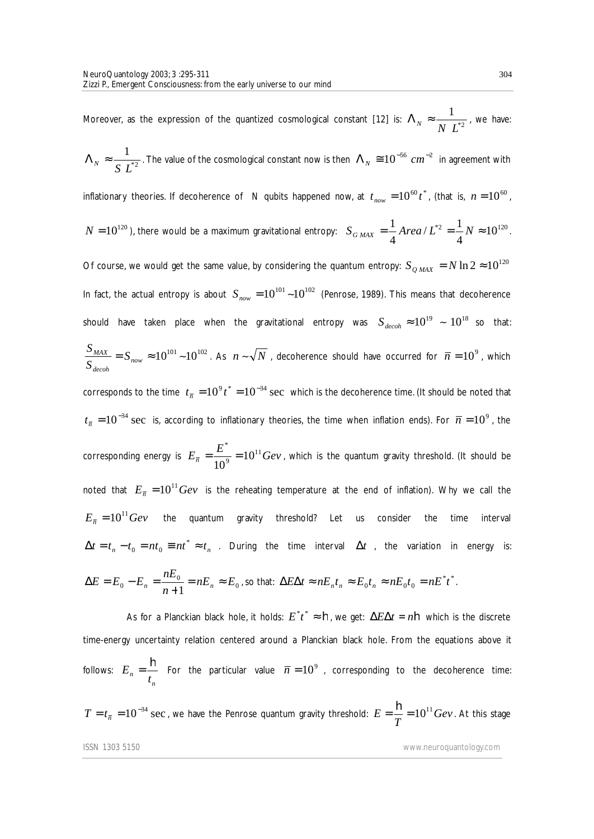Moreover, as the expression of the quantized cosmological constant [12] is:  $\Lambda_N \approx \frac{1}{N - I^{*2}}$ 1  $\Lambda_N \approx \frac{1}{N L^{*2}}$ , we have:

$$
\Lambda_N \approx \frac{1}{S L^{*2}}
$$
. The value of the cosmological constant now is then  $\Lambda_N \approx 10^{-56} cm^{-2}$  in agreement with

inflationary theories. If decoherence of  $N$  qubits happened now, at  $t_{now} = 10^{60}t^*$ , (that is,  $n = 10^{60}$ ,

$$
N = 10^{120}
$$
), there would be a maximum gravitational entropy:  $S_{GMAX} = \frac{1}{4} \text{Area}/L^{*2} = \frac{1}{4}N \approx 10^{120}$ .

Of course, we would get the same value, by considering the quantum entropy:  $S_{\varrho\,MAX}=N\ln2\approx10^{120}$ In fact, the actual entropy is about  $S_{_{now}} = 10^{101}$ ~ $10^{102}$  (Penrose, 1989). This means that decoherence should have taken place when the gravitational entropy was  $S_{decoh} \approx 10^{19} \sim 10^{18}$  so that:  $S_{now} \approx 10^{101}$ *decoh*  $\frac{MAX}{} = S$ *S*  $\frac{S_{MAX}}{S_{MAX}} = S_{now} \approx 10^{101} \sim 10^{102}$ . As  $n \sim \sqrt{N}$  , decoherence should have occurred for  $\bar{n} = 10^9$  , which

corresponds to the time  $t_{\overline{n}} = 10^9 t^* = 10^{-34} \text{ sec}$  which is the decoherence time. (It should be noted that  $t_{\bar n} =$  10<sup>-34</sup> sec is, according to inflationary theories, the time when inflation ends). For  $\bar n =$  10<sup>9</sup>, the

corresponding energy is  $E_{\overline{n}} = \frac{E^*}{10^9} = 10^{11} GeV$ 9 \* 10 10  $=\frac{E}{\sqrt{2}}$  = 10<sup>11</sup> Gev, which is the quantum gravity threshold. (It should be noted that  $E_{\overline{n}} = \! 10^{11} GeV$  is the reheating temperature at the end of inflation). Why we call the  $E_{\overline{n}} = 10^{11} Gev$  the quantum gravity threshold? Let us consider the time interval  $\Delta t = t_n - t_0 = nt_0 \equiv nt^* \approx t_n$  $\delta_0 = nt_0 \equiv nt^* \approx t_n$  . During the time interval  $\Delta t$  , the variation in energy is:

$$
\Delta E = E_0 - E_n = \frac{nE_0}{n+1} = nE_n \approx E_0
$$
, so that: 
$$
\Delta E \Delta t \approx nE_n t_n \approx E_0 t_n \approx nE_0 t_0 = nE^* t^*.
$$

ISSN 1303 5150 [www.neuroquantology.com](http://www.neuroquantology.com) As for a Planckian black hole, it holds:  $E^* t^* \approx \mathbf{h}$ , we get:  $\Delta E \Delta t = n \mathbf{h}$  which is the discrete time-energy uncertainty relation centered around a Planckian black hole. From the equations above it follows: *n*  $\binom{n}{t}$  $E_n = \frac{\mathbf{h}}{\mathbf{h}}$  For the particular value  $\bar{n} = 10^\circ$  , corresponding to the decoherence time:  $T = t_{\overline{n}} = 10^{-34}$  sec, we have the Penrose quantum gravity threshold:  $E = \frac{H}{T} = 10^{11} \, GeV$  $E = \frac{\mathbf{h}}{2} = 10^{11} \, GeV$ . At this stage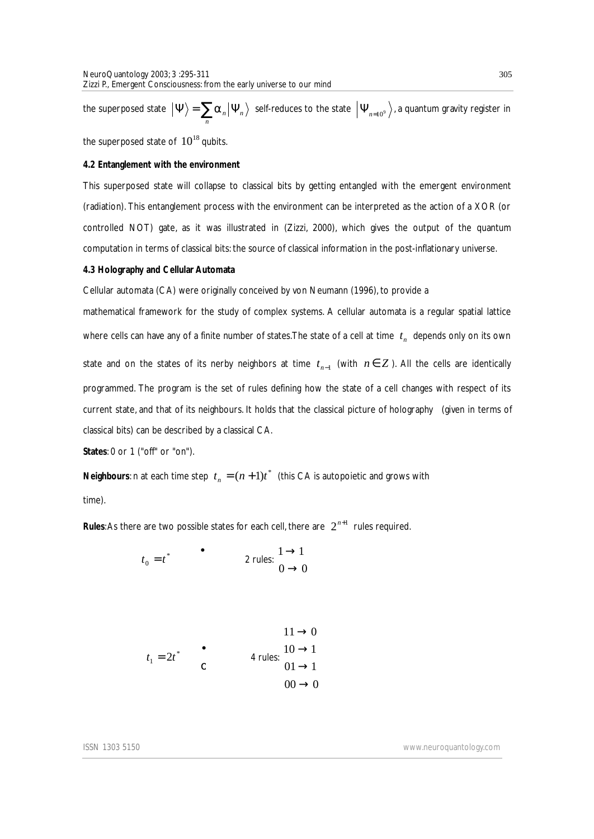the superposed state  $|\Psi\rangle = \sum_n a_n |\Psi\rangle$  $a_n|\Psi_n\rangle$  self-reduces to the state  $|\Psi_{n=10^9}\rangle$ , a quantum gravity register in

the superposed state of  $10^{18}$  qubits.

**4.2 Entanglement with the environment** 

This superposed state will collapse to classical bits by getting entangled with the emergent environment (radiation). This entanglement process with the environment can be interpreted as the action of a XOR (or controlled NOT) gate, as it was illustrated in (Zizzi, 2000), which gives the output of the quantum computation in terms of classical bits: the source of classical information in the post-inflationary universe.

**4.3 Holography and Cellular Automata** 

Cellular automata (CA) were originally conceived by von Neumann (1996), to provide a

mathematical framework for the study of complex systems. A cellular automata is a regular spatial lattice where cells can have any of a finite number of states.The state of a cell at time  $t_n$  depends only on its own state and on the states of its nerby neighbors at time  $t_{n-1}$  (with  $n \in \mathbb{Z}$ ). All the cells are identically programmed. The program is the set of rules defining how the state of a cell changes with respect of its current state, and that of its neighbours. It holds that the classical picture of holography (given in terms of classical bits) can be described by a classical CA.

**States**: 0 or 1 ("off" or "on").

Neighbours: n at each time step  $t_n = (n+1)t^*$  (this CA is autopoietic and grows with time).

Rules: As there are two possible states for each cell, there are  $2^{n+1}$  rules required.

$$
t_0 = t^*
$$
 2 rules: 
$$
\begin{array}{c} 1 \rightarrow 1 \\ 0 \rightarrow 0 \end{array}
$$

$$
t_1 = 2t^* \qquad \begin{array}{c} 11 \rightarrow 0 \\ \bullet \\ 0 \end{array}
$$
\n
$$
t_1 = 2t^* \qquad \begin{array}{c} 11 \rightarrow 0 \\ 4 \text{ rules:} \quad 10 \rightarrow 1 \\ 01 \rightarrow 1 \\ 00 \rightarrow 0 \end{array}
$$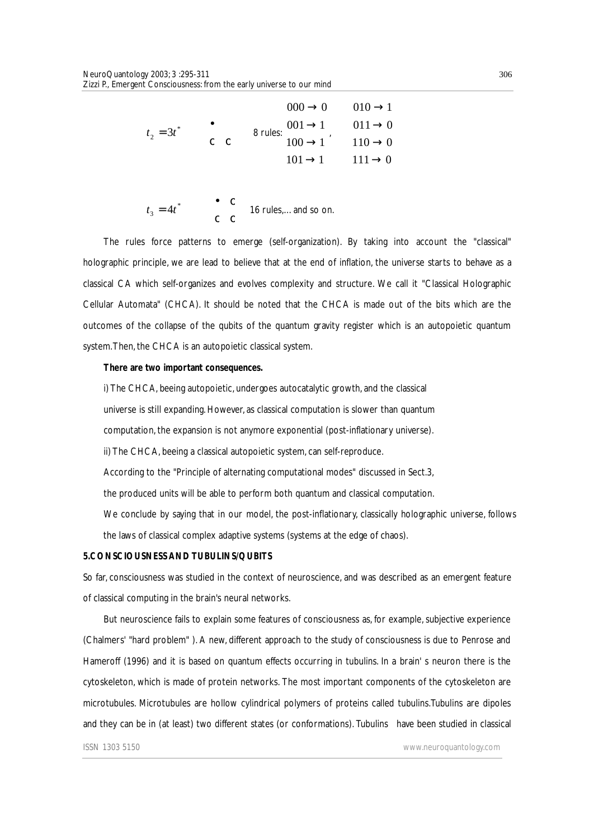|              |          | $000 \rightarrow 0$             | $010 \rightarrow 1$ |
|--------------|----------|---------------------------------|---------------------|
| $t_2 = 3t^*$ |          | $001 \rightarrow 1$<br>8 rules: | $011 \rightarrow 0$ |
|              | - 0<br>0 | $100 \rightarrow 1$             | $110 \rightarrow 0$ |
|              |          | $101 \rightarrow 1$             | $111 \rightarrow 0$ |
|              |          |                                 |                     |
|              |          |                                 |                     |

 $t_3 = 4t^*$ o o • o 16 rules,…and so on.

The rules force patterns to emerge (self-organization). By taking into account the "classical" holographic principle, we are lead to believe that at the end of inflation, the universe starts to behave as a classical CA which self-organizes and evolves complexity and structure. We call it "Classical Holographic Cellular Automata" (CHCA). It should be noted that the CHCA is made out of the bits which are the outcomes of the collapse of the qubits of the quantum gravity register which is an autopoietic quantum system.Then, the CHCA is an autopoietic classical system.

*There are two important consequences.* 

*i) The CHCA, beeing autopoietic, undergoes autocatalytic growth, and the classical universe is still expanding. However, as classical computation is slower than quantum computation, the expansion is not anymore exponential (post-inflationary universe). ii) The CHCA, beeing a classical autopoietic system, can self-reproduce. According to the "Principle of alternating computational modes" discussed in Sect.3, the produced units will be able to perform both quantum and classical computation. We conclude by saying that in our model, the post-inflationary, classically holographic universe, follows the laws of classical complex adaptive systems (systems at the edge of chaos).* 

**5.CONSCIOUSNESS AND TUBULINS/QUBITS** 

So far, consciousness was studied in the context of neuroscience, and was described as an emergent feature of classical computing in the brain's neural networks.

But neuroscience fails to explain some features of consciousness as, for example, subjective experience (Chalmers' "hard problem" ). A new, different approach to the study of consciousness is due to Penrose and Hameroff (1996) and it is based on quantum effects occurring in tubulins. In a brain' s neuron there is the cytoskeleton, which is made of protein networks. The most important components of the cytoskeleton are microtubules. Microtubules are hollow cylindrical polymers of proteins called tubulins.Tubulins are dipoles and they can be in (at least) two different states (or conformations). Tubulins have been studied in classical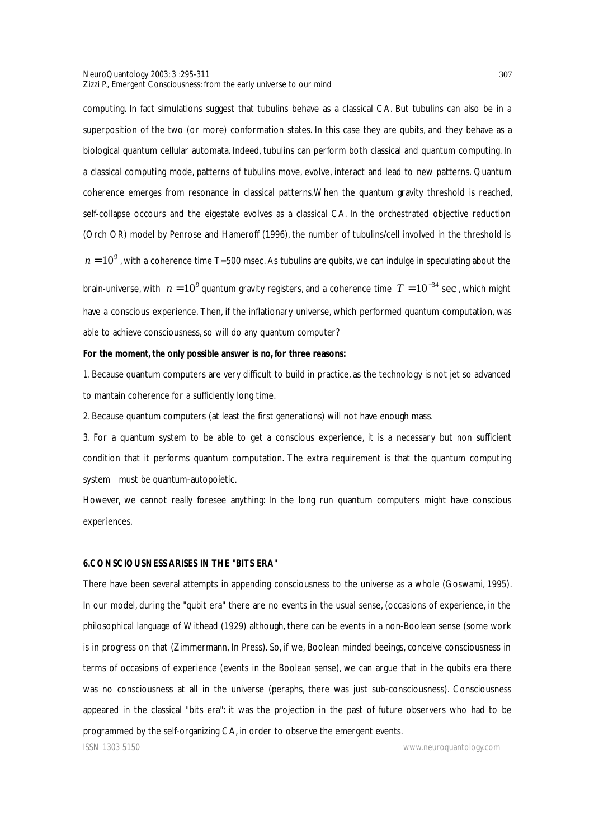computing. In fact simulations suggest that tubulins behave as a classical CA. But tubulins can also be in a superposition of the two (or more) conformation states. In this case they are qubits, and they behave as a biological quantum cellular automata. Indeed, tubulins can perform both classical and quantum computing. In a classical computing mode, patterns of tubulins move, evolve, interact and lead to new patterns. Quantum coherence emerges from resonance in classical patterns.When the quantum gravity threshold is reached, self-collapse occours and the eigestate evolves as a classical CA. In the orchestrated objective reduction (Orch OR) model by Penrose and Hameroff (1996), the number of tubulins/cell involved in the threshold is  $n=$  10 $^{\circ}$  , with a coherence time T=500 msec. As tubulins are qubits, we can indulge in speculating about the brain-universe, with  $n =$  10 $^9$  quantum gravity registers, and a coherence time  $T =$  10<sup>-34</sup> sec , which might have a conscious experience. Then, if the inflationary universe, which performed quantum computation, was able to achieve consciousness, so will do any quantum computer?

*For the moment, the only possible answer is no, for three reasons:* 

1. Because quantum computers are very difficult to build in practice, as the technology is not jet so advanced to mantain coherence for a sufficiently long time.

2. Because quantum computers (at least the first generations) will not have enough mass.

3. For a quantum system to be able to get a conscious experience, it is a necessary but non sufficient condition that it performs quantum computation. The extra requirement is that the quantum computing system must be quantum-autopoietic.

However, we cannot really foresee anything: In the long run quantum computers might have conscious experiences.

#### **6.CONSCIOUSNESS ARISES IN THE "BITS ERA"**

There have been several attempts in appending consciousness to the universe as a whole (Goswami, 1995). In our model, during the "qubit era" there are no events in the usual sense, (occasions of experience, in the philosophical language of Withead (1929) although, there can be events in a non-Boolean sense (some work is in progress on that (Zimmermann, In Press). So, if we, Boolean minded beeings, conceive consciousness in terms of occasions of experience (events in the Boolean sense), we can argue that in the qubits era there was no consciousness at all in the universe (peraphs, there was just sub-consciousness). Consciousness appeared in the classical "bits era": it was the projection in the past of future observers who had to be programmed by the self-organizing CA, in order to observe the emergent events.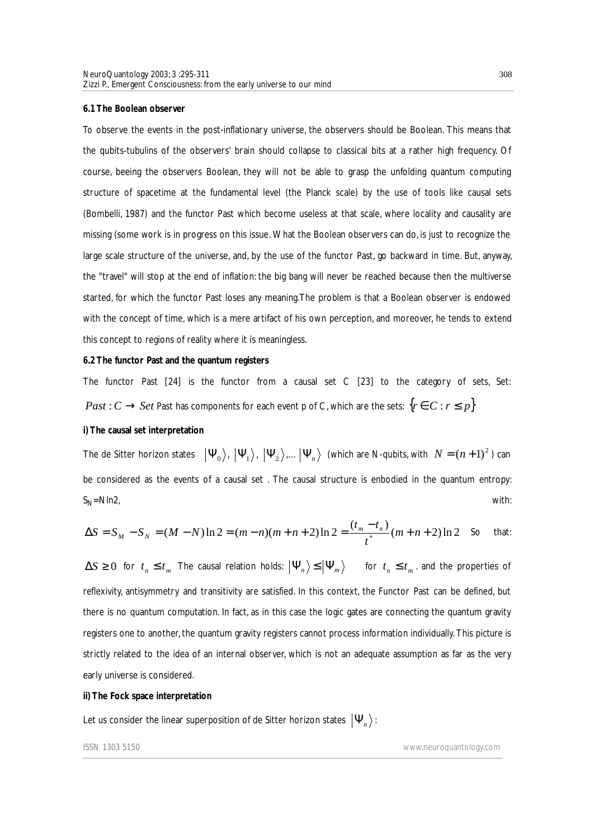#### **6.1 The Boolean observer**

To observe the events in the post-inflationary universe, the observers should be Boolean. This means that the qubits-tubulins of the observers' brain should collapse to classical bits at a rather high frequency. Of course, beeing the observers Boolean, they will not be able to grasp the unfolding quantum computing structure of spacetime at the fundamental level (the Planck scale) by the use of tools like causal sets (Bombelli, 1987) and the functor Past which become useless at that scale, where locality and causality are missing (some work is in progress on this issue. What the Boolean observers can do, is just to recognize the large scale structure of the universe, and, by the use of the functor Past, go backward in time. But, anyway, the "travel" will stop at the end of inflation: the big bang will never be reached because then the multiverse started, for which the functor Past loses any meaning.The problem is that a Boolean observer is endowed with the concept of time, which is a mere artifact of his own perception, and moreover, he tends to extend this concept to regions of reality where it is meaningless.

**6.2 The functor Past and the quantum registers**

The functor Past [24] is the functor from a causal set C [23] to the category of sets, Set: *Past* :  $C \rightarrow Set$  Past has components for each event p of C, which are the sets:  $\{r \in C : r \leq p\}$ 

#### *i) The causal set interpretation*

The de Sitter horizon states  $\ket{\Psi_0}$ ,  $\ket{\Psi_1}$ ,  $\ket{\Psi_2}$ ,... $\ket{\Psi_n}$  (which are N-qubits, with  $\ N=(n+1)^2$  ) can be considered as the events of a causal set . The causal structure is enbodied in the quantum entropy:  $S_N = N \ln 2$ , with:

$$
\Delta S = S_M - S_N = (M - N)\ln 2 = (m - n)(m + n + 2)\ln 2 = \frac{(t_m - t_n)}{t^*}(m + n + 2)\ln 2
$$
 So that:

 $\Delta S \geq 0$  for  $t_n \leq t_m$  The causal relation holds:  $\left|\Psi_n\right\rangle \leq \left|\Psi_m\right\rangle$  for  $t_n \leq t_m$  and the properties of reflexivity, antisymmetry and transitivity are satisfied. In this context, the Functor Past can be defined, but there is no quantum computation. In fact, as in this case the logic gates are connecting the quantum gravity registers one to another, the quantum gravity registers cannot process information individually. This picture is strictly related to the idea of an internal observer, which is not an adequate assumption as far as the very early universe is considered.

#### *ii) The Fock space interpretation*

Let us consider the linear superposition of de Sitter horizon states  $\big|\Psi_{_{n}}\big\rangle$  :

ISSN 1303 5150 [www.neuroquantology.com](http://www.neuroquantology.com)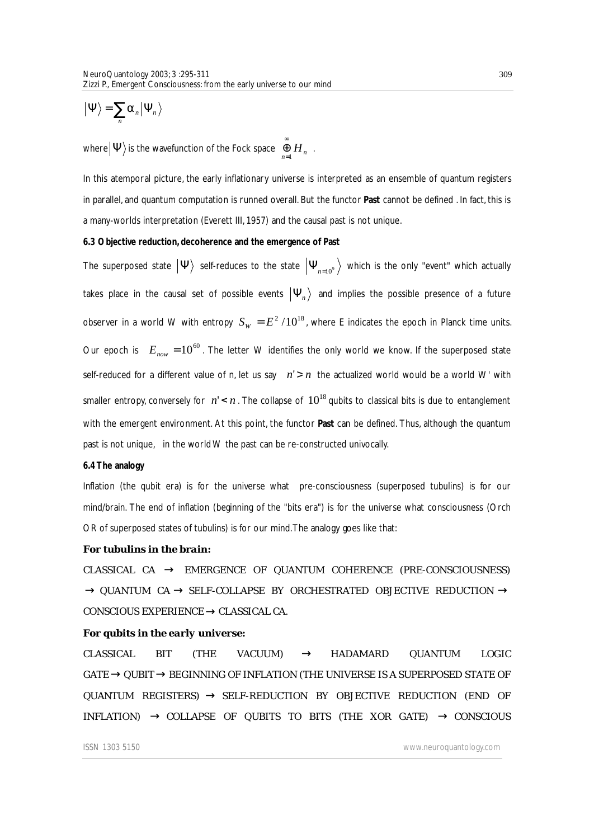$$
|\Psi\rangle = \sum_n a_n |\Psi_n\rangle
$$

where  $\ket{\Psi}$  is the wavefunction of the Fock space  $\stackrel{\infty}{\oplus} H_{n}$  $\bigoplus_{n=1}$   $H_n$ .

In this atemporal picture, the early inflationary universe is interpreted as an ensemble of quantum registers in parallel, and quantum computation is runned overall. But the functor **Past** cannot be defined . In fact, this is a many-worlds interpretation (Everett III, 1957) and the causal past is not unique.

**6.3 Objective reduction, decoherence and the emergence of Past**

The superposed state  $|\Psi\rangle$  self-reduces to the state  $|\Psi_{n=10^9}\rangle$  which is the only "event" which actually takes place in the causal set of possible events  $\ket{\Psi_n}$  and implies the possible presence of a future observer in a world W with entropy  $\,S_{_{W}}=E^{2}\,/\,10^{18}$  , where E indicates the epoch in Planck time units. Our epoch is  $E_{\textit{now}} = 10^{60}$  . The letter W identifies the only world we know. If the superposed state self-reduced for a different value of n, let us say  $n' > n$  the actualized world would be a world W' with smaller entropy, conversely for  $n' < n$ . The collapse of  $10^{18}$  qubits to classical bits is due to entanglement with the emergent environment. At this point, the functor **Past** can be defined. Thus, although the quantum past is not unique, in the worldW the past can be re-constructed univocally.

**6.4 The analogy** 

Inflation (the qubit era) is for the universe what pre-consciousness (superposed tubulins) is for our mind/brain. The end of inflation (beginning of the "bits era") is for the universe what consciousness (Orch OR of superposed states of tubulins) is for our mind.The analogy goes like that:

#### *For tubulins in the brain:*

*CLASSICAL CA* → *EMERGENCE OF QUANTUM COHERENCE (PRE-CONSCIOUSNESS)*  → *QUANTUM CA* → *SELF-COLLAPSE BY ORCHESTRATED OBJECTIVE REDUCTION* → *CONSCIOUS EXPERIENCE*→*CLASSICAL CA.* 

#### *For qubits in the early universe:*

*CLASSICAL BIT (THE VACUUM)* → *HADAMARD QUANTUM LOGIC GATE*→*QUBIT*→*BEGINNING OF INFLATION (THE UNIVERSE IS A SUPERPOSED STATE OF*   $QUANTUM$  *REGISTERS*)  $\rightarrow$  *SELF-REDUCTION BY OBJECTIVE REDUCTION (END OF*  $INFLATION)$   $\rightarrow$  *COLLAPSE OF QUBITS TO BITS* (THE *XOR GATE*)  $\rightarrow$  *CONSCIOUS*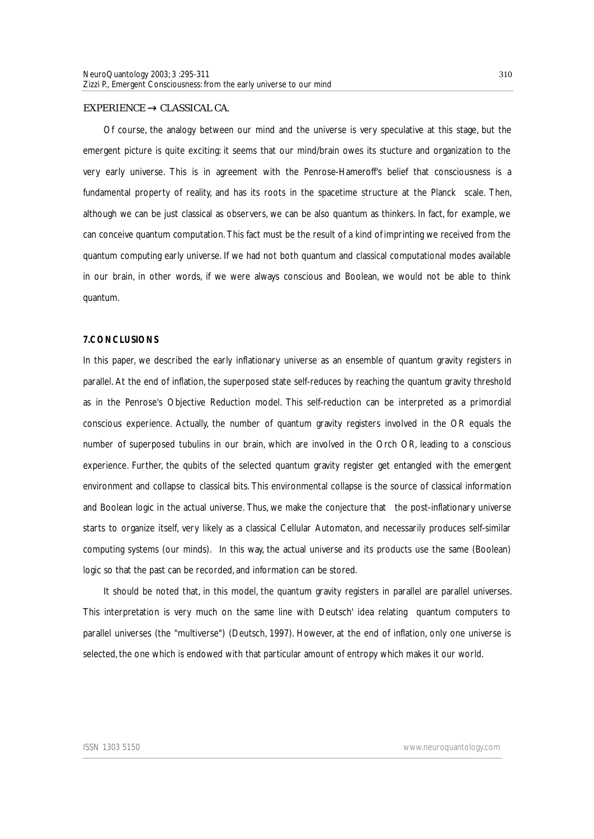#### *EXPERIENCE*→*CLASSICAL CA.*

Of course, the analogy between our mind and the universe is very speculative at this stage, but the emergent picture is quite exciting: it seems that our mind/brain owes its stucture and organization to the very early universe. This is in agreement with the Penrose-Hameroff's belief that consciousness is a fundamental property of reality, and has its roots in the spacetime structure at the Planck scale. Then, although we can be just classical as observers, we can be also quantum as thinkers. In fact, for example, we can conceive quantum computation. This fact must be the result of a kind of *imprinting* we received from the quantum computing early universe. If we had not both quantum and classical computational modes available in our brain, in other words, if we were always conscious and Boolean, we would not be able to think quantum.

#### **7.CONCLUSIONS**

In this paper, we described the early inflationary universe as an ensemble of quantum gravity registers in parallel. At the end of inflation, the superposed state self-reduces by reaching the quantum gravity threshold as in the Penrose's Objective Reduction model. This self-reduction can be interpreted as a primordial conscious experience. Actually, the number of quantum gravity registers involved in the OR equals the number of superposed tubulins in our brain, which are involved in the Orch OR, leading to a conscious experience. Further, the qubits of the selected quantum gravity register get entangled with the emergent environment and collapse to classical bits. This environmental collapse is the source of classical information and Boolean logic in the actual universe. Thus, we make the conjecture that the post-inflationary universe starts to organize itself, very likely as a classical Cellular Automaton, and necessarily produces self-similar computing systems (our minds). In this way, the actual universe and its products use the same (Boolean) logic so that the past can be recorded, and information can be stored.

It should be noted that, in this model, the quantum gravity registers in parallel are parallel universes. This interpretation is very much on the same line with Deutsch' idea relating quantum computers to parallel universes (the "multiverse") (Deutsch, 1997). However, at the end of inflation, only one universe is selected, the one which is endowed with that particular amount of entropy which makes it our world.